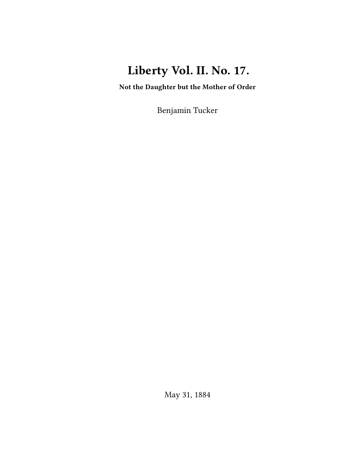# **Liberty Vol. II. No. 17.**

**Not the Daughter but the Mother of Order**

Benjamin Tucker

May 31, 1884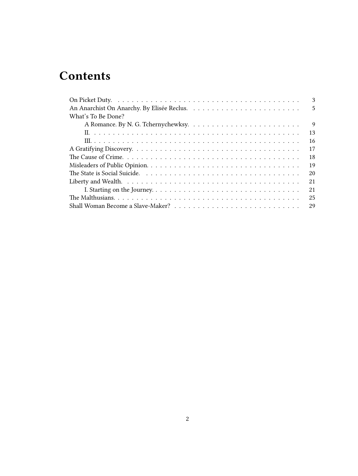# **Contents**

| 3                  |
|--------------------|
| 5                  |
| What's To Be Done? |
| 9                  |
| 13                 |
| 16                 |
| 17                 |
| 18                 |
| 19                 |
| 20                 |
| 21                 |
| 21                 |
| 25                 |
| 29                 |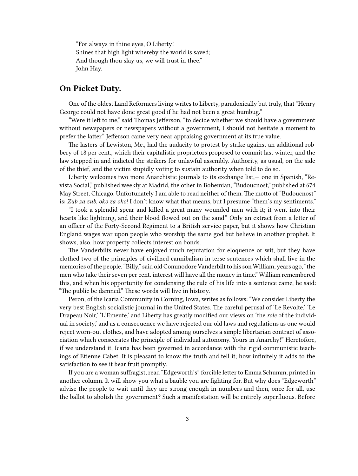"For always in thine eyes, O Liberty! Shines that high light whereby the world is saved; And though thou slay us, we will trust in thee." John Hay.

## <span id="page-2-0"></span>**On Picket Duty.**

One of the oldest Land Reformers living writes to Liberty, paradoxically but truly, that "Henry George could not have done great good if he had not been a great humbug."

"Were it left to me," said Thomas Jefferson, "to decide whether we should have a government without newspapers or newspapers without a government, I should not hesitate a moment to prefer the latter." Jefferson came very near appraising government at its true value.

The lasters of Lewiston, Me., had the audacity to protest by strike against an additional robbery of 18 per cent., which their capitalistic proprietors proposed to commit last winter, and the law stepped in and indicted the strikers for unlawful assembly. Authority, as usual, on the side of the thief, and the victim stupidly voting to sustain authority when told to do so.

Liberty welcomes two more Anarchistic journals to its exchange list,— one in Spanish, "Revista Social," published weekly at Madrid, the other in Bohemian, "Budoucnost," published at 674 May Street, Chicago. Unfortunately I am able to read neither of them. The motto of "Budoucnost" is: *Zub za zub, oko za oko!* I don't know what that means, but I presume "them's my sentiments."

"I took a splendid spear and killed a great many wounded men with it; it went into their hearts like lightning, and their blood flowed out on the sand." Only an extract from a letter of an officer of the Forty-Second Regiment to a British service paper, but it shows how Christian England wages war upon people who worship the same god but believe in another prophet. It shows, also, how property collects interest on bonds.

The Vanderbilts never have enjoyed much reputation for eloquence or wit, but they have clothed two of the principles of civilized cannibalism in terse sentences which shall live in the memories of the people. "Billy," said old Commodore Vanderbilt to his son William, years ago, "the men who take their seven per cent. interest will have all the money in time." William remembered this, and when his opportunity for condensing the rule of his life into a sentence came, he said: "The public be damned." These words will live in history.

Peron, of the Icaria Community in Corning, Iowa, writes as follows: "We consider Liberty the very best English socialistic journal in the United States. The careful perusal of 'Le Revolte,' 'Le Drapeau Noir,' 'L'Emeute,' and Liberty has greatly modified our views on 'the *role* of the individual in society,' and as a consequence we have rejected our old laws and regulations as one would reject worn-out clothes, and have adopted among ourselves a simple libertarian contract of association which consecrates the principle of individual autonomy. Yours in Anarchy!" Heretofore, if we understand it, Icaria has been governed in accordance with the rigid communistic teachings of Etienne Cabet. It is pleasant to know the truth and tell it; how infinitely it adds to the satisfaction to see it bear fruit promptly.

If you are a woman suffragist, read "Edgeworth's" forcible letter to Emma Schumm, printed in another column. It will show you what a bauble you are fighting for. But why does "Edgeworth" advise the people to wait until they are strong enough in numbers and then, once for all, use the ballot to abolish the government? Such a manifestation will be entirely superfluous. Before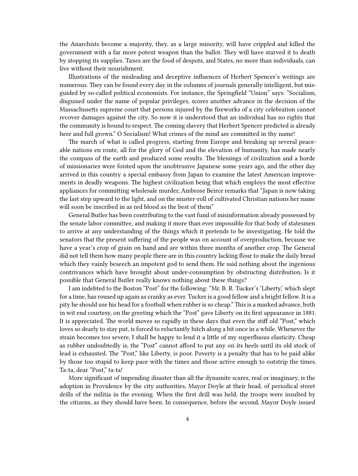the Anarchists become a majority, they, as a large minority, will have crippled and killed the government with a far more potent weapon than the ballot. They will have starved it to death by stopping its supplies. Taxes are the food of despots, and States, no more than individuals, can live without their nourishment.

Illustrations of the misleading and deceptive influences of Herbert Spencer's writings are numerous. They can be found every day in the columns of journals generally intelligent, but misguided by so-called political economists. For instance, the Springfield "Union" says: "Socialism, disguised under the name of popular privileges, scores another advance in the decision of the Massachusetts supreme court that persons injured by the fireworks of a city celebration cannot recover damages against the city. So now it is understood that an individual has no rights that the community is bound to respect. The coming slavery that Herbert Spencer predicted is already here and full grown." O Socialism! What crimes of the mind are committed in thy name!

The march of what is called progress, starting from Europe and breaking up several peaceable nations en route, all for the glory of God and the elevation of humanity, has made nearly the compass of the earth and produced some results. The blessings of civilization and a horde of missionaries were foisted upon the unobtrusive Japanese some years ago, and the other day arrived in this country a special embassy from Japan to examine the latest American improvements in deadly weapons. The highest civilization being that which employs the most effective appliances for committing wholesale murder, Ambrose Beirce remarks that "Japan is now taking the last step upward to the light, and on the muster-roll of cultivated Christian nations her name will soon be inscribed in as red blood as the best of them"

General Butler has been contributing to the vast fund of misinformation already possessed by the senate labor committee, and making it more than ever impossible for that body of statesmen to arrive at any understanding of the things which it pretends to be investigating. He told the senators that the present suffering of the people was on account of overproduction, because we have a year's crop of grain on hand and are within three months of another crop. The General did not tell them how many people there are in this country lacking flour to make the daily bread which they vainly beseech an impotent god to send them. He said nothing about the ingenious contrivances which have brought about under-consumption by obstructing distribution. Is it possible that General Butler really knows nothing about these things?

I am indebted to the Boston "Post" for the following: "Mr. B. R. Tucker's 'Liberty,' which slept for a time, has roused up again as cranky as ever. Tucker is a good fellow and a bright fellow. It is a pity he should use his head for a football when rubber is so cheap." This is a marked advance, both in wit end courtesy, on the greeting which the "Post" gave Liberty on its first appearance in 1881. It is appreciated. The world moves so rapidly in these days that even the stiff old "Post," which loves so dearly to stay put, is forced to reluctantly hitch along a bit once in a while. Whenever the strain becomes too severe, I shall be happy to lend it a little of my superfluous elasticity. Cheap as rubber undoubtedly is, the "Post" cannot afford to put any on its heels until its old stock of lead is exhausted. The "Post," like Liberty, is poor. Poverty is a penalty that has to be paid alike by those too stupid to keep pace with the times and those active enough to outstrip the times. Ta-ta, dear "Post," ta-ta!

More significant of impending disaster than all the dynamite scares, real or imaginary, is the adoption in Providence by the city authorities, Mayor Doyle at their head, of periodical street drills of the militia in the evening. When the first drill was held, the troops were insulted by the citizens, as they should have been. In consequence, before the second, Mayor Doyle issued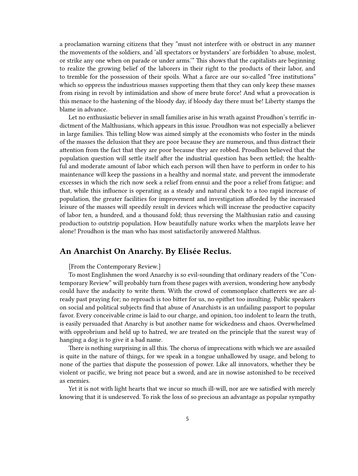a proclamation warning citizens that they "must not interfere with or obstruct in any manner the movements of the soldiers, and 'all spectators or bystanders' are forbidden 'to abuse, molest, or strike any one when on parade or under arms.'" This shows that the capitalists are beginning to realize the growing belief of the laborers in their right to the products of their labor, and to tremble for the possession of their spoils. What a farce are our so-called "free institutions" which so oppress the industrious masses supporting them that they can only keep these masses from rising in revolt by intimidation and show of mere brute force! And what a provocation is this menace to the hastening of the bloody day, if bloody day there must be! Liberty stamps the blame in advance.

Let no enthusiastic believer in small families arise in his wrath against Proudhon's terrific indictment of the Malthusians, which appears in this issue. Proudhon was not especially a believer in large families. This telling blow was aimed simply at the economists who foster in the minds of the masses the delusion that they are poor because they are numerous, and thus distract their attention from the fact that they are poor because they are robbed. Proudhon believed that the population question will settle itself after the industrial question has been settled; the healthful and moderate amount of labor which each person will then have to perform in order to his maintenance will keep the passions in a healthy and normal state, and prevent the immoderate excesses in which the rich now seek a relief from ennui and the poor a relief from fatigue; and that, while this influence is operating as a steady and natural check to a too rapid increase of population, the greater facilities for improvement and investigation afforded by the increased leisure of the masses will speedily result in devices which will increase the productive capacity of labor ten, a hundred, and a thousand fold; thus reversing the Malthusian ratio and causing production to outstrip population. How beautifully nature works when the marplots leave her alone! Proudhon is the man who has most satisfactorily answered Malthus.

## <span id="page-4-0"></span>**An Anarchist On Anarchy. By Elisée Reclus.**

[From the Contemporary Review.]

To most Englishmen the word Anarchy is so evil-sounding that ordinary readers of the "Contemporary Review" will probably turn from these pages with aversion, wondering how anybody could have the audacity to write them. With the crowd of commonplace chatterers we are already past praying for; no reproach is too bitter for us, no epithet too insulting. Public speakers on social and political subjects find that abuse of Anarchists is an unfailing passport to popular favor. Every conceivable crime is laid to our charge, and opinion, too indolent to learn the truth, is easily persuaded that Anarchy is but another name for wickedness and chaos. Overwhelmed with opprobrium and held up to hatred, we are treated on the principle that the surest way of hanging a dog is to give it a bad name.

There is nothing surprising in all this. The chorus of imprecations with which we are assailed is quite in the nature of things, for we speak in a tongue unhallowed by usage, and belong to none of the parties that dispute the possession of power. Like all innovators, whether they be violent or pacific, we bring not peace but a sword, and are in nowise astonished to be received as enemies.

Yet it is not with light hearts that we incur so much ill-will, nor are we satisfied with merely knowing that it is undeserved. To risk the loss of so precious an advantage as popular sympathy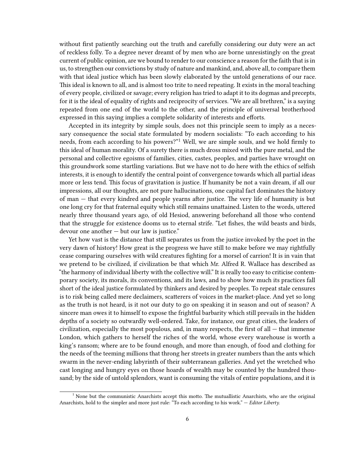without first patiently searching out the truth and carefully considering our duty were an act of reckless folly. To a degree never dreamt of by men who are borne unresistingly on the great current of public opinion, are we bound to render to our conscience a reason for the faith that is in us, to strengthen our convictions by study of nature and mankind, and, above all, to compare them with that ideal justice which has been slowly elaborated by the untold generations of our race. This ideal is known to all, and is almost too trite to need repeating. It exists in the moral teaching of every people, civilized or savage; every religion has tried to adapt it to its dogmas and precepts, for it is the ideal of equality of rights and reciprocity of services. "We are all brethren," is a saying repeated from one end of the world to the other, and the principle of universal brotherhood expressed in this saying implies a complete solidarity of interests and efforts.

Accepted in its integrity by simple souls, does not this principle seem to imply as a necessary consequence the social state formulated by modern socialists: "To each according to his needs, from each according to his powers?"<sup>1</sup> Well, we are simple souls, and we hold firmly to this ideal of human morality. Of a surety there is much dross mixed with the pure metal, and the personal and collective egoisms of families, cities, castes, peoples, and parties have wrought on this groundwork some startling variations. But we have not to do here with the ethics of selfish interests, it is enough to identify the central point of convergence towards which all partial ideas more or less tend. This focus of gravitation is justice. If humanity be not a vain dream, if all our impressions, all our thoughts, are not pure hallucinations, one capital fact dominates the history of man — that every kindred and people yearns after justice. The very life of humanity is but one long cry for that fraternal equity which still remains unattained. Listen to the words, uttered nearly three thousand years ago, of old Hesiod, answering beforehand all those who contend that the struggle for existence dooms us to eternal strife. "Let fishes, the wild beasts and birds, devour one another — but our law is justice."

Yet how vast is the distance that still separates us from the justice invoked by the poet in the very dawn of history! How great is the progress we have still to make before we may rightfully cease comparing ourselves with wild creatures fighting for a morsel of carrion! It is in vain that we pretend to be civilized, if civilization be that which Mr. Alfred R. Wallace has described as "the harmony of individual liberty with the collective will." It is really too easy to criticise contemporary society, its morals, its conventions, and its laws, and to show how much its practices fall short of the ideal justice formulated by thinkers and desired by peoples. To repeat stale censures is to risk being called mere declaimers, scatterers of voices in the market-place. And yet so long as the truth is not heard, is it not our duty to go on speaking it in season and out of season? A sincere man owes it to himself to expose the frightful barbarity which still prevails in the hidden depths of a society so outwardly well-ordered. Take, for instance, our great cities, the leaders of civilization, especially the most populous, and, in many respects, the first of all  $-$  that immense London, which gathers to herself the riches of the world, whose every warehouse is worth a king's ransom; where are to be found enough, and more than enough, of food and clothing for the needs of the teeming millions that throng her streets in greater numbers than the ants which swarm in the never-ending labyrinth of their subterranean galleries. And yet the wretched who cast longing and hungry eyes on those hoards of wealth may be counted by the hundred thousand; by the side of untold splendors, want is consuming the vitals of entire populations, and it is

 $<sup>1</sup>$  None but the communistic Anarchists accept this motto. The mutuallistic Anarchists, who are the original</sup> Anarchists, hold to the simpler and more just rule: "To each according to his work." — *Editor Liberty.*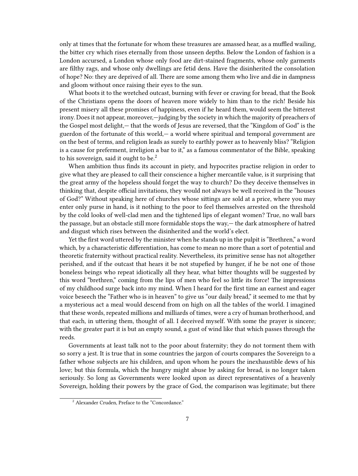only at times that the fortunate for whom these treasures are amassed hear, as a muffled wailing, the bitter cry which rises eternally from those unseen depths. Below the London of fashion is a London accursed, a London whose only food are dirt-stained fragments, whose only garments are filthy rags, and whose only dwellings are fetid dens. Have the disinherited the consolation of hope? No: they are deprived of all. There are some among them who live and die in dampness and gloom without once raising their eyes to the sun.

What boots it to the wretched outcast, burning with fever or craving for bread, that the Book of the Christians opens the doors of heaven more widely to him than to the rich! Beside his present misery all these promises of happiness, even if he heard them, would seem the bitterest irony. Does it not appear, moreover,—judging by the society in which the majority of preachers of the Gospel most delight,— that the words of Jesus are reversed, that the "Kingdom of God" is the guerdon of the fortunate of this world,— a world where spiritual and temporal government are on the best of terms, and religion leads as surely to earthly power as to heavenly bliss? "Religion is a cause for preferment, irreligion a bar to it," as a famous commentator of the Bible, speaking to his sovereign, said it ought to be.<sup>2</sup>

When ambition thus finds its account in piety, and hypocrites practise religion in order to give what they are pleased to call their conscience a higher mercantile value, is it surprising that the great army of the hopeless should forget the way to church? Do they deceive themselves in thinking that, despite official invitations, they would not always be well received in the "houses of God?" Without speaking here of churches whose sittings are sold at a price, where you may enter only purse in hand, is it nothing to the poor to feel themselves arrested on the threshold by the cold looks of well-clad men and the tightened lips of elegant women? True, no wall bars the passage, but an obstacle still more formidable stops the way,— the dark atmosphere of hatred and disgust which rises between the disinherited and the world's elect.

Yet the first word uttered by the minister when he stands up in the pulpit is "Brethren," a word which, by a characteristic differentiation, has come to mean no more than a sort of potential and theoretic fraternity without practical reality. Nevertheless, its primitive sense has not altogether perished, and if the outcast that hears it be not stupefied by hunger, if he be not one of those boneless beings who repeat idiotically all they hear, what bitter thoughts will be suggested by this word "brethren," coming from the lips of men who feel so little its force! The impressions of my childhood surge back into my mind. When I heard for the first time an earnest and eager voice beseech the "Father who is in heaven" to give us "our daily bread," it seemed to me that by a mysterious act a meal would descend from on high on all the tables of the world. I imagined that these words, repeated millions and milliards of times, were a cry of human brotherhood, and that each, in uttering them, thought of all. I deceived myself. With some the prayer is sincere; with the greater part it is but an empty sound, a gust of wind like that which passes through the reeds.

Governments at least talk not to the poor about fraternity; they do not torment them with so sorry a jest. It is true that in some countries the jargon of courts compares the Sovereign to a father whose subjects are his children, and upon whom he pours the inexhaustible dews of his love; but this formula, which the hungry might abuse by asking for bread, is no longer taken seriously. So long as Governments were looked upon as direct representatives of a heavenly Sovereign, holding their powers by the grace of God, the comparison was legitimate; but there

<sup>&</sup>lt;sup>2</sup> Alexander Cruden, Preface to the "Concordance."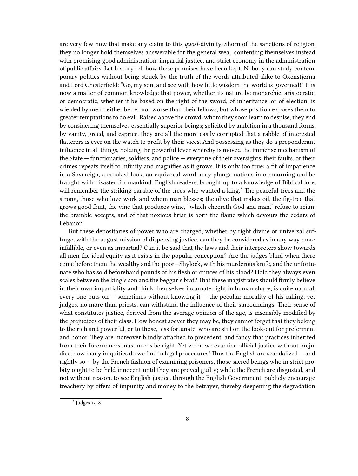are very few now that make any claim to this *quosi*-divinity. Shorn of the sanctions of religion, they no longer hold themselves answerable for the general weal, contenting themselves instead with promising good administration, impartial justice, and strict economy in the administration of public affairs. Let history tell how these promises have been kept. Nobody can study contemporary politics without being struck by the truth of the words attributed alike to Oxenstjerna and Lord Chesterfield: "Go, my son, and see with how little wisdom the world is governed!" It is now a matter of common knowledge that power, whether its nature be monarchic, aristocratic, or democratic, whether it be based on the right of the sword, of inheritance, or of election, is wielded by men neither better nor worse than their fellows, but whose position exposes them to greater temptations to do evil. Raised above the crowd, whom they soon learn to despise, they end by considering themselves essentially superior beings; solicited by ambition in a thousand forms, by vanity, greed, and caprice, they are all the more easily corrupted that a rabble of interested flatterers is ever on the watch to profit by their vices. And possessing as they do a preponderant influence in all things, holding the powerful lever whereby is moved the immense mechanism of the State — functionaries, soldiers, and police — everyone of their oversights, their faults, or their crimes repeats itself to infinity and magnifies as it grows. It is only too true: a fit of impatience in a Sovereign, a crooked look, an equivocal word, may plunge nations into mourning and be fraught with disaster for mankind. English readers, brought up to a knowledge of Biblical lore, will remember the striking parable of the trees who wanted a king.<sup>3</sup> The peaceful trees and the strong, those who love work and whom man blesses; the olive that makes oil, the fig-tree that grows good fruit, the vine that produces wine, "which cheereth God and man," refuse to reign; the bramble accepts, and of that noxious briar is born the flame which devours the cedars of Lebanon.

But these depositaries of power who are charged, whether by right divine or universal suffrage, with the august mission of dispensing justice, can they be considered as in any way more infallible, or even as impartial? Can it be said that the laws and their interpreters show towards all men the ideal equity as it exists in the popular conception? Are the judges blind when there come before them the wealthy and the poor—Shylock, with his murderous knife, and the unfortunate who has sold beforehand pounds of his flesh or ounces of his blood? Hold they always even scales between the king's son and the beggar's brat? That these magistrates should firmly believe in their own impartiality and think themselves incarnate right in human shape, is quite natural; every one puts on  $-$  sometimes without knowing it  $-$  the peculiar morality of his calling; yet judges, no more than priests, can withstand the influence of their surroundings. Their sense of what constitutes justice, derived from the average opinion of the age, is insensibly modified by the prejudices of their class. How honest soever they may be, they cannot forget that they belong to the rich and powerful, or to those, less fortunate, who are still on the look-out for preferment and honor. They are moreover blindly attached to precedent, and fancy that practices inherited from their forerunners must needs be right. Yet when we examine official justice without prejudice, how many iniquities do we find in legal procedures! Thus the English are scandalized — and rightly so — by the French fashion of examining prisoners, those sacred beings who in strict probity ought to be held innocent until they are proved guilty; while the French are disgusted, and not without reason, to see English justice, through the English Government, publicly encourage treachery by offers of impunity and money to the betrayer, thereby deepening the degradation

<sup>&</sup>lt;sup>3</sup> Judges ix. 8.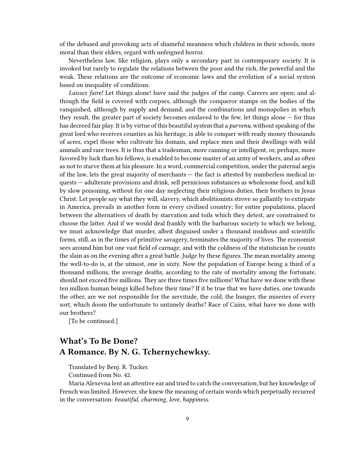of the debased and provoking acts of shameful meanness which children in their schools, more moral than their elders, regard with unfeigned horror.

Nevertheless law, like religion, plays only a secondary part in contemporary society. It is invoked but rarely to regulate the relations between the poor and the rich, the powerful and the weak. These relations are the outcome of economic laws and the evolution of a social system based on inequality of conditions.

*Laissez faire!* Let things alone! have said the judges of the camp. Careers are open; and although the field is covered with corpses, although the conqueror stamps on the bodies of the vanquished, although by supply and demand, and the combinations and monopolies in which they result, the greater part of society becomes enslaved to the few, let things alone — for thus has decreed fair play. It is by virtue of this beautiful system that a *parvenu*, without speaking of the great lord who receives counties as his heritage, is able to conquer with ready money thousands of acres, expel those who cultivate his domain, and replace men and their dwellings with wild animals and rare trees. It is thus that a tradesman, more canning or intelligent, or, perhaps, more favored by luck than his fellows, is enabled to become master of an army of workers, and as often as not to starve them at his pleasure. In a word, commercial competition, under the paternal aegis of the law, lets the great majority of merchants — the fact is attested by numberless medical inquests — adulterate provisions and drink, sell pernicious substances as wholesome food, and kill by slow poisoning, without for one day neglecting their religious duties, their brothers in Jesus Christ. Let people say what they will, slavery, which abolitionists strove so gallantly to extirpate in America, prevails in another form in every civilised country; for entire populations, placed between the alternatives of death by starvation and toils which they detest, are constrained to choose the latter. And if we would deal frankly with the barbarous society to which we belong, we must acknowledge that murder, albeit disguised under a thousand insidious and scientific forms, still, as in the times of primitive savagery, terminates the majority of lives. The economist sees around him but one vast field of carnage, and with the coldness of the statistician he counts the slain as on the evening after a great battle. Judge by these figures. The mean mortality among the well-to-do is, at the utmost, one in sixty. Now the population of Europe being a third of a thousand millions, the average deaths, according to the rate of mortality among the fortunate, should not exceed five millions. They are three times five millions! What have we done with these ten million human beings killed before their time? If it be true that we have duties, one towards the other, are we not responsible for the servitude, the cold, the hunger, the miseries of every sort, which doom the unfortunate to untimely deaths? Race of Cains, what have we done with our brothers?

[To be continued.]

# <span id="page-8-0"></span>**What's To Be Done? A Romance. By N. G. Tchernychewksy.**

Translated by Benj. R. Tucker.

Continued from No. 42.

Maria Alexevna lent an attentive ear and tried to catch the conversation; but her knowledge of French was limited. However, she knew the meaning of certain words which perpetually recurred in the conversation: *beautiful, charming, love, happiness.*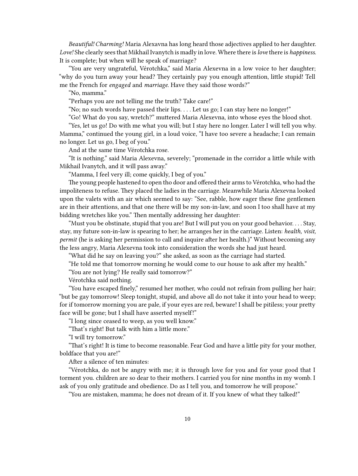*Beautiful! Charming!* Maria Alexavna has long heard those adjectives applied to her daughter. *Love!* She clearly sees that Mikhail Ivanytch is madly in love. Where there is*love* there is *happiness*. It is complete; but when will he speak of marriage?

"You are very ungrateful, Vérotchka," said Maria Alexevna in a low voice to her daughter; "why do you turn away your head? They certainly pay you enough attention, little stupid! Tell me the French for *engaged* and *marriage*. Have they said those words?"

"No, mamma."

"Perhaps you are not telling me the truth? Take care!"

"No; no such words have passed their lips. . . . Let us go; I can stay here no longer!"

"Go! What do you say, wretch?" muttered Maria Alexevna, into whose eyes the blood shot.

"Yes, let us go! Do with me what you will; but I stay here no longer. Later I will tell you why. Mamma," continued the young girl, in a loud voice, "I have too severe a headache; I can remain no longer. Let us go, I beg of you."

And at the same time Vérotchka rose.

"It is nothing." said Maria Alexevna, severely; "promenade in the corridor a little while with Mikhail Ivanytch, and it will pass away."

"Mamma, I feel very ill; come quickly, I beg of you."

The young people hastened to open tho door and offered their arms to Vérotchka, who had the impoliteness to refuse. They placed the ladies in the carriage. Meanwhile Maria Alexevna looked upon the valets with an air which seemed to say: "See, rabble, how eager these fine gentlemen are in their attentions, and that one there will be my son-in-law, and soon I too shall have at my bidding wretches like you." Then mentally addressing her daughter:

"Must you be obstinate, stupid that you are! But I will put you on your good behavior. . . . Stay, stay, my future son-in-law is spearing to her; he arranges her in the carriage. Listen: *health, visit, permit* (he is asking her permission to call and inquire after her health.)" Without becoming any the less angry, Maria Alexevna took into consideration the words she had just heard.

"What did he say on leaving you?" she asked, as soon as the carriage had started.

"He told me that tomorrow morning he would come to our house to ask after my health."

"You are not lying? He really said tomorrow?"

Vérotchka said nothing.

"You have escaped finely," resumed her mother, who could not refrain from pulling her hair; "but be gay tomorrow! Sleep tonight, stupid, and above all do not take it into your head to weep; for if tomorrow morning you are pale, if your eyes are red, beware! I shall be pitiless; your pretty face will be gone; but I shall have asserted myself!"

"I long since ceased to weep, as you well know."

"That's right! But talk with him a little more."

"I will try tomorrow."

"That's right! It is time to become reasonable. Fear God and have a little pity for your mother, boldface that you are!"

After a silence of ten minutes:

"Vérotchka, do not be angry with me; it is through love for you and for your good that I torment you. children are so dear to their mothers. I carried you for nine months in my womb. I ask of you only gratitude and obedience. Do as I tell you, and tomorrow he will propose."

"You are mistaken, mamma; he does not dream of it. If you knew of what they talked!"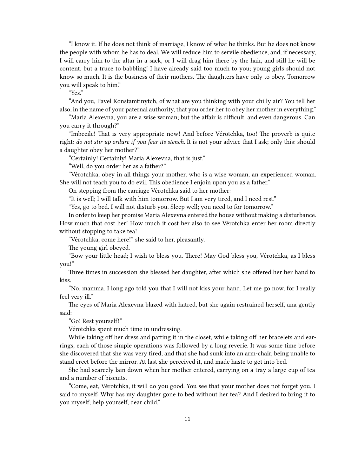"I know it. If he does not think of marriage, I know of what he thinks. But he does not know the people with whom he has to deal. We will reduce him to servile obedience, and, if necessary, I will carry him to the altar in a sack, or I will drag him there by the hair, and still he will be content. but a truce to babbling! I have already said too much to you; young girls should not know so much. It is the business of their mothers. The daughters have only to obey. Tomorrow you will speak to him."

"Yes."

"And you, Pavel Konstamtinytch, of what are you thinking with your chilly air? You tell her also, in the name of your paternal authority, that you order her to obey her mother in everything."

"Maria Alexevna, you are a wise woman; but the affair is difficult, and even dangerous. Can you carry it through?"

"Imbecile! That is very appropriate now! And before Vérotchka, too! The proverb is quite right: *do not stir up ordure if you fear its stench.* It is not your advice that I ask; only this: should a daughter obey her mother?"

"Certainly! Certainly! Maria Alexevna, that is just."

"Well, do you order her as a father?"

"Vérotchka, obey in all things your mother, who is a wise woman, an experienced woman. She will not teach you to do evil. This obedience I enjoin upon you as a father."

On stepping from the carriage Vérotchka said to her mother:

"It is well; I will talk with him tomorrow. But I am very tired, and I need rest."

"Yes, go to bed. I will not disturb you. Sleep well; you need to for tomorrow."

In order to keep her promise Maria Alexevna entered the house without making a disturbance. How much that cost her! How much it cost her also to see Vérotchka enter her room directly without stopping to take tea!

"Vérotchka, come here!" she said to her, pleasantly.

The young girl obeyed.

"Bow your little head; I wish to bless you. There! May God bless you, Vérotchka, as I bless you!"

Three times in succession she blessed her daughter, after which she offered her her hand to kiss.

"No, mamma. I long ago told you that I will not kiss your hand. Let me go now, for I really feel very ill."

The eyes of Maria Alexevna blazed with hatred, but she again restrained herself, ana gently said:

"Go! Rest yourself!"

Vérotchka spent much time in undressing.

While taking off her dress and patting it in the closet, while taking off her bracelets and earrings, each of those simple operations was followed by a long reverie. It was some time before she discovered that she was very tired, and that she had sunk into an arm-chair, being unable to stand erect before the mirror. At last she perceived it, and made haste to get into bed.

She had scarcely lain down when her mother entered, carrying on a tray a large cup of tea and a number of biscuits.

"Come, eat, Vérotchka, it will do you good. You see that your mother does not forget you. I said to myself: Why has my daughter gone to bed without her tea? And I desired to bring it to you myself; help yourself, dear child."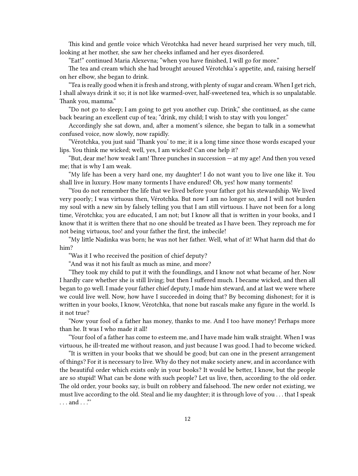This kind and gentle voice which Vérotchka had never heard surprised her very much, till, looking at her mother, she saw her cheeks inflamed and her eyes disordered.

"Eat!" continued Maria Alexevna; "when you have finished, I will go for more."

The tea and cream which she had brought aroused Vérotchka's appetite, and, raising herself on her elbow, she began to drink.

"Tea is really good when it is fresh and strong, with plenty of sugar and cream. When I get rich, I shall always drink it so; it is not like warmed-over, half-sweetened tea, which is so unpalatable. Thank you, mamma."

"Do not go to sleep; I am going to get you another cup. Drink," she continued, as she came back bearing an excellent cup of tea; "drink, my child; I wish to stay with you longer."

Accordingly she sat down, and, after a moment's silence, she began to talk in a somewhat confused voice, now slowly, now rapidly.

"Vérotchka, you just said 'Thank you' to me; it is a long time since those words escaped your lips. You think me wicked; well, yes, I am wicked! Can one help it?

"But, dear me! how weak I am! Three punches in succession — at my age! And then you vexed me; that is why I am weak.

"My life has been a very hard one, my daughter! I do not want you to live one like it. You shall live in luxury. How many torments I have endured! Oh, yes! how many torments!

"You do not remember the life that we lived before your father got his stewardship. We lived very poorly; I was virtuous then, Vérotchka. But now I am no longer so, and I will not burden my soul with a new sin by falsely telling you that I am still virtuous. I have not been for a long time, Vérotchka; you are educated, I am not; but I know all that is written in your books, and I know that it is written there that no one should be treated as I have been. They reproach me for not being virtuous, too! and your father the first, the imbecile!

"My little Nadinka was born; he was not her father. Well, what of it! What harm did that do him?

"Was it I who received the position of chief deputy?

"And was it not his fault as much as mine, and more?

"They took my child to put it with the foundlings, and I know not what became of her. Now I hardly care whether she is still living; but then I suffered much. I became wicked, and then all began to go well. I made your father chief deputy, I made him steward, and at last we were where we could live well. Now, how have I succeeded in doing that? By becoming dishonest; for it is written in your books, I know, Vérotchka, that none but rascals make any figure in the world. Is it not true?

"Now your fool of a father has money, thanks to me. And I too have money! Perhaps more than he. It was I who made it all!

"Your fool of a father has come to esteem me, and I have made him walk straight. When I was virtuous, he ill-treated me without reason, and just because I was good. I had to become wicked.

"It is written in your books that we should be good; but can one in the present arrangement of things? For it is necessary to live. Why do they not make society anew, and in accordance with the beautiful order which exists only in your books? It would be better, I know, but the people are so stupid! What can be done with such people? Let us live, then, according to the old order. The old order, your books say, is built on robbery and falsehood. The new order not existing, we must live according to the old. Steal and lie my daughter; it is through love of you . . . that I speak . . . and . . ."'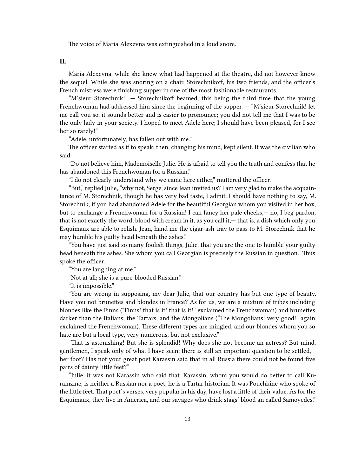The voice of Maria Alexevna was extinguished in a loud snore.

<span id="page-12-0"></span>**II.**

Maria Alexevna, while she knew what had happened at the theatre, did not however know the sequel. While she was snoring on a chair, Storechnikoff, his two friends, and the officer's French mistress were finishing supper in one of the most fashionable restaurants.

"M'sieur Storechnik!" — Storechnikoff beamed, this being the third time that the young Frenchwoman had addressed him since the beginning of the supper. — "M'sieur Storechnik! let me call you so, it sounds better and is easier to pronounce; you did not tell me that I was to be the only lady in your society. I hoped to meet Adele here; I should have been pleased, for I see her so rarely!"

"Adele, unfortunately, has fallen out with me."

The officer started as if to speak; then, changing his mind, kept silent. It was the civilian who said:

"Do not believe him, Mademoiselle Julie. He is afraid to tell you the truth and confess that he has abandoned this Frenchwoman for a Russian."

"I do not clearly understand why we came here either," muttered the officer.

"But," replied Julie, "why not, Serge, since Jean invited us? I am very glad to make the acquaintance of M. Storechnik, though he has very bad taste, I admit. I should have nothing to say, M. Storechnik, if you had abandoned Adele for the beautiful Georgian whom you visited in her box, but to exchange a Frenchwoman for a Russian! I can fancy her pale cheeks,— no, I beg pardon, that is not exactly the word; blood with cream in it, as you call it,— that is, a dish which only you Esquimaux are able to relish. Jean, hand me the cigar-ash tray to pass to M. Storechnik that he may humble his guilty head beneath the ashes."

"You have just said so many foolish things, Julie, that you are the one to humble your guilty head beneath the ashes. She whom you call Georgian is precisely the Russian in question." Thus spoke the officer.

"You are laughing at me."

"Not at all; she is a pure-blooded Russian."

"It is impossible."

"You are wrong in supposing, my dear Julie, that our country has but one type of beauty. Have you not brunettes and blondes in France? As for us, we are a mixture of tribes including blondes like the Finns ("Finns! that is it! that is it!" exclaimed the Frenchwoman) and brunettes darker than the Italians, the Tartars, and the Mongolians ("The Mongolians! very good!" again exclaimed the Frenchwoman). These different types are mingled, and our blondes whom you so hate are but a local type, very numerous, but not exclusive."

"That is astonishing! But she is splendid! Why does she not become an actress? But mind, gentlemen, I speak only of what I have seen; there is still an important question to be settled, her foot? Has not your great poet Karassin said that in all Russia there could not be found five pairs of dainty little feet?"

"Julie, it was not Karassin who said that. Karassin, whom you would do better to call Kuramzine, is neither a Russian nor a poet; he is a Tartar historian. It was Pouchkine who spoke of the little feet. That poet's verses, very popular in his day, have lost a little of their value. As for the Esquimaux, they live in America, and our savages who drink stags' blood an called Samoyedes."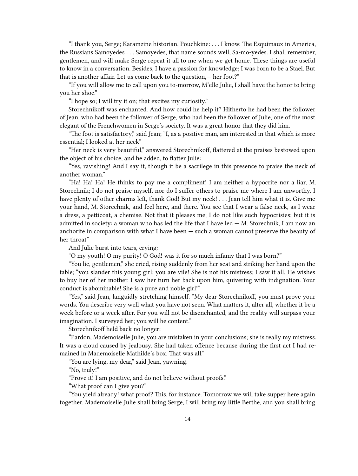"I thank you, Serge; Karamzine historian. Pouchkine: . . . I know. The Esquimaux in America, the Russians Samoyedes . . . Samoyedes, that name sounds well, Sa-mo-yedes. I shall remember, gentlemen, and will make Serge repeat it all to me when we get home. These things are useful to know in a conversation. Besides, I have a passion for knowledge; I was born to be a Stael. But that is another affair. Let us come back to the question,— her foot?"

"If you will allow me to call upon you to-morrow, M'elle Julie, I shall have the honor to bring you her shoe."

"I hope so; I will try it on; that excites my curiosity."

Storechnikoff was enchanted. And how could he help it? Hitherto he had been the follower of Jean, who had been the follower of Serge, who had been the follower of Julie, one of the most elegant of the Frenchwomen in Serge's society. It was a great honor that they did him.

"The foot is satisfactory," said Jean; "I, as a positive man, am interested in that which is more essential; I looked at her neck"

"Her neck is very beautiful," answered Storechnikoff, flattered at the praises bestowed upon the object of his choice, and he added, to flatter Julie:

"Yes, ravishing! And I say it, though it be a sacrilege in this presence to praise the neck of another woman."

"Ha! Ha! Ha! He thinks to pay me a compliment! I am neither a hypocrite nor a liar, M. Storechnik; I do not praise myself, nor do I suffer others to praise me where I am unworthy. I have plenty of other charms left, thank God! But my neck! . . . Jean tell him what it is. Give me your hand, M. Storechnik, and feel here, and there. You see that I wear a false neck, as I wear a dress, a petticoat, a chemise. Not that it pleases me; I do not like such hypocrisies; but it is admitted in society: a woman who has led the life that I have led  $-$  M. Storechnik, I am now an anchorite in comparison with what I have been — such a woman cannot preserve the beauty of her throat"

And Julie burst into tears, crying:

"O my youth! O my purity! O God! was it for so much infamy that I was born?"

"You lie, gentlemen," she cried, rising suddenly from her seat and striking her hand upon the table; "you slander this young girl; you are vile! She is not his mistress; I saw it all. He wishes to buy her of her mother. I saw her turn her back upon him, quivering with indignation. Your conduct is abominable! She is a pure and noble girl!"

"Yes," said Jean, languidly stretching himself. "My dear Storechnikoff, you must prove your words. You describe very well what you have not seen. What matters it, alter all, whether it be a week before or a week after. For you will not be disenchanted, and the reality will surpass your imagination. I surveyed her; you will be content."

Storechnikoff held back no longer:

"Pardon, Mademoiselle Julie, you are mistaken in your conclusions; she is really my mistress. It was a cloud caused by jealousy. She had taken offence because during the first act I had remained in Mademoiselle Mathilde's box. That was all."

"You are lying, my dear," said Jean, yawning.

"No, truly!"

"Prove it! I am positive, and do not believe without proofs."

"What proof can I give you?"

"You yield already! what proof? This, for instance. Tomorrow we will take supper here again together. Mademoiselle Julie shall bring Serge, I will bring my little Berthe, and you shall bring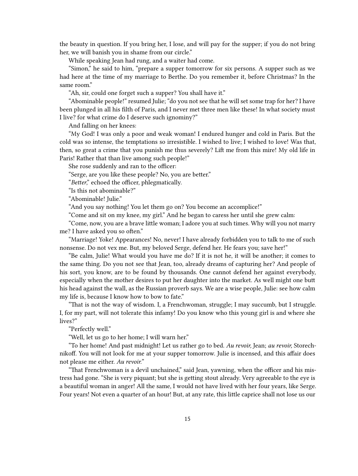the beauty in question. If you bring her, I lose, and will pay for the supper; if you do not bring her, we will banish you in shame from our circle."

While speaking Jean had rung, and a waiter had come.

"Simon," he said to him, "prepare a supper tomorrow for six persons. A supper such as we had here at the time of my marriage to Berthe. Do you remember it, before Christmas? In the same room."

"Ah, sir, could one forget such a supper? You shall have it."

"Abominable people!" resumed Julie; "do you not see that he will set some trap for her? I have been plunged in all his filth of Paris, and I never met three men like these! In what society must I live? for what crime do I deserve such ignominy?"

And falling on her knees:

"My God! I was only a poor and weak woman! I endured hunger and cold in Paris. But the cold was so intense, the temptations so irresistible. I wished to live; I wished to love! Was that, then, so great a crime that you punish me thus severely? Lift me from this mire! My old life in Paris! Rather that than live among such people!"

She rose suddenly and ran to the officer:

"Serge, are you like these people? No, you are better."

"*Better*," echoed the officer, phlegmatically.

"Is this not abominable?"

"Abominable! Julie."

"And you say nothing! You let them go on? You become an accomplice!"

"Come and sit on my knee, my girl." And he began to caress her until she grew calm:

"Come, now, you are a brave little woman; I adore you at such times. Why will you not marry me? I have asked you so often."

"Marriage! Yoke! Appearances! No, never! I have already forbidden you to talk to me of such nonsense. Do not vex me. But, my beloved Serge, defend her. He fears you; save her!"

"Be calm, Julie! What would you have me do? If it is not he, it will be another; it comes to the same thing. Do you not see that Jean, too, already dreams of capturing her? And people of his sort, you know, are to be found by thousands. One cannot defend her against everybody, especially when the mother desires to put her daughter into the market. As well might one butt his head against the wall, as the Russian proverb says. We are a wise people, Julie: see how calm my life is, because I know how to bow to fate."

"That is not the way of wisdom. I, a Frenchwoman, struggle; I may succumb, but I struggle. I, for my part, will not tolerate this infamy! Do you know who this young girl is and where she lives?"

"Perfectly well."

"Well, let us go to her home; I will warn her."

"To her home! And past midnight! Let us rather go to bed. *Au revoir,* Jean; *au revoir,* Storechnikoff. You will not look for me at your supper tomorrow. Julie is incensed, and this affair does not please me either. *Au revoir.*"

"That Frenchwoman is a devil unchained," said Jean, yawning, when the officer and his mistress had gone. "She is very piquant; but she is getting stout already. Very agreeable to the eye is a beautiful woman in anger! All the same, I would not have lived with her four years, like Serge. Four years! Not even a quarter of an hour! But, at any rate, this little caprice shall not lose us our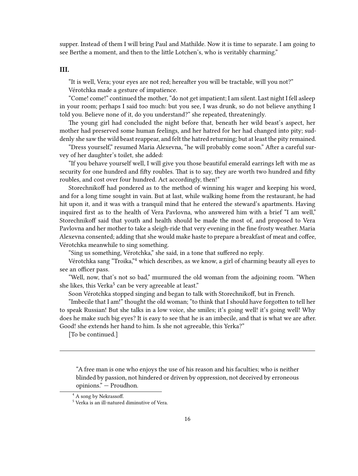supper. Instead of them I will bring Paul and Mathilde. Now it is time to separate. I am going to see Berthe a moment, and then to the little Lotchen's, who is veritably charming."

### <span id="page-15-0"></span>**III.**

"It is well, Vera; your eyes are not red; hereafter you will be tractable, will you not?"

Vérotchka made a gesture of impatience.

"Come! come!" continued the mother, "do not get impatient; I am silent. Last night I fell asleep in your room; perhaps I said too much: but you see, I was drunk, so do not believe anything I told you. Believe none of it, do you understand?" she repeated, threateningly.

The young girl had concluded the night before that, beneath her wild beast's aspect, her mother had preserved some human feelings, and her hatred for her had changed into pity; suddenly she saw the wild beast reappear, and felt the hatred returning; but at least the pity remained.

"Dress yourself," resumed Maria Alexevna, "he will probably come soon." After a careful survey of her daughter's toilet, she added:

"If you behave yourself well, I will give you those beautiful emerald earrings left with me as security for one hundred and fifty roubles. That is to say, they are worth two hundred and fifty roubles, and cost over four hundred. Act accordingly, then!"

Storechnikoff had pondered as to the method of winning his wager and keeping his word, and for a long time sought in vain. But at last, while walking home from the restaurant, he had hit upon it, and it was with a tranquil mind that he entered the steward's apartments. Having inquired first as to the health of Vera Pavlovna, who answered him with a brief "I am well," Storechnikoff said that youth and health should be made the most of, and proposed to Vera Pavlovna and her mother to take a sleigh-ride that very evening in the fine frosty weather. Maria Alexevna consented; adding that she would make haste to prepare a breakfast of meat and coffee, Vérotchka meanwhile to sing something.

"Sing us something, Vérotchka," she said, in a tone that suffered no reply.

Vérotchka sang "Troika,"<sup>4</sup> which describes, as we know, a girl of charming beauty all eyes to see an officer pass.

"Well, now, that's not so bad," murmured the old woman from the adjoining room. "When she likes, this Verka<sup>5</sup> can be very agreeable at least."

Soon Vérotchka stopped singing and began to talk with Storechnikoff, but in French.

"Imbecile that I am!" thought the old woman; "to think that I should have forgotten to tell her to speak Russian! But she talks in a low voice, she smiles; it's going well! it's going well! Why does he make such big eyes? It is easy to see that he is an imbecile, and that is what we are after. Good! she extends her hand to him. Is she not agreeable, this Yerka?"

[To be continued.]

"A free man is one who enjoys the use of his reason and his faculties; who is neither blinded by passion, not hindered or driven by oppression, not deceived by erroneous opinions." — Proudhon.

<sup>&</sup>lt;sup>4</sup> A song by Nekrassoff.

<sup>5</sup> Verka is an ill-natured diminutive of Vera.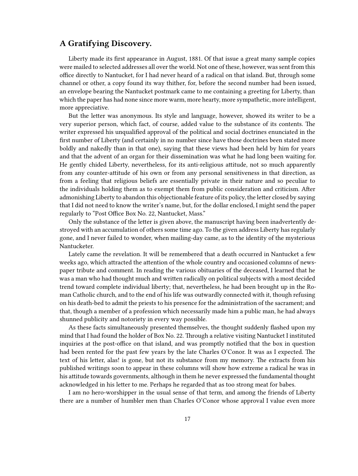## <span id="page-16-0"></span>**A Gratifying Discovery.**

Liberty made its first appearance in August, 1881. Of that issue a great many sample copies were mailed to selected addresses all over the world. Not one of these, however, was sent from this office directly to Nantucket, for I had never heard of a radical on that island. But, through some channel or other, a copy found its way thither, for, before the second number had been issued, an envelope bearing the Nantucket postmark came to me containing a greeting for Liberty, than which the paper has had none since more warm, more hearty, more sympathetic, more intelligent, more appreciative.

But the letter was anonymous. Its style and language, however, showed its writer to be a very superior person, which fact, of course, added value to the substance of its contents. The writer expressed his unqualified approval of the political and social doctrines enunciated in the first number of Liberty (and certainly in no number since have those doctrines been stated more boldly and nakedly than in that one), saying that these views had been held by him for years and that the advent of an organ for their dissemination was what he had long been waiting for. He gently chided Liberty, nevertheless, for its anti-religious attitude, not so much apparently from any counter-attitude of his own or from any personal sensitiveness in that direction, as from a feeling that religious beliefs are essentially private in their nature and so peculiar to the individuals holding them as to exempt them from public consideration and criticism. After admonishing Liberty to abandon this objectionable feature of its policy, the letter closed by saying that I did not need to know the writer's name, but, for the dollar enclosed, I might send the paper regularly to "Post Office Box No. 22, Nantucket, Mass."

Only the substance of the letter is given above, the manuscript having been inadvertently destroyed with an accumulation of others some time ago. To the given address Liberty has regularly gone, and I never failed to wonder, when mailing-day came, as to the identity of the mysterious Nantucketer.

Lately came the revelation. It will be remembered that a death occurred in Nantucket a few weeks ago, which attracted the attention of the whole country and occasioned columns of newspaper tribute and comment. In reading the various obituaries of the deceased, I learned that he was a man who had thought much and written radically on political subjects with a most decided trend toward complete individual liberty; that, nevertheless, he had been brought up in the Roman Catholic church, and to the end of his life was outwardly connected with it, though refusing on his death-bed to admit the priests to his presence for the administration of the sacrament; and that, though a member of a profession which necessarily made him a public man, he had always shunned publicity and notoriety in every way possible.

As these facts simultaneously presented themselves, the thought suddenly flashed upon my mind that I had found the holder of Box No. 22. Through a relative visiting Nantucket I instituted inquiries at the post-office on that island, and was promptly notified that the box in question had been rented for the past few years by the late Charles O'Conor. It was as I expected. The text of his letter, alas! is gone, but not its substance from my memory. The extracts from his published writings soon to appear in these columns will show how extreme a radical he was in his attitude towards governments, although in them he never expressed the fundamental thought acknowledged in his letter to me. Perhaps he regarded that as too strong meat for babes.

I am no hero-worshipper in the usual sense of that term, and among the friends of Liberty there are a number of humbler men than Charles O'Conor whose approval I value even more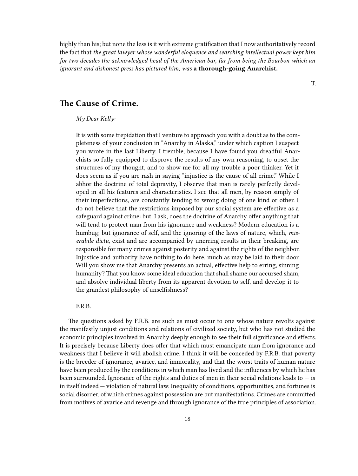highly than his; but none the less is it with extreme gratification that I now authoritatively record the fact that *the great lawyer whose wonderful eloquence and searching intellectual power kept him for two decades the acknowledged head of the American bar, far from being the Bourbon which an ignorant and dishonest press has pictured him, was* **a thorough-going Anarchist.**

T.

# <span id="page-17-0"></span>**The Cause of Crime.**

## *My Dear Kelly:*

It is with some trepidation that I venture to approach you with a doubt as to the completeness of your conclusion in "Anarchy in Alaska," under which caption I suspect you wrote in the last Liberty. I tremble, because I have found you dreadful Anarchists so fully equipped to disprove the results of my own reasoning, to upset the structures of my thought, and to show me for all my trouble a poor thinker. Yet it does seem as if you are rash in saying "injustice is the cause of all crime." While I abhor the doctrine of total depravity, I observe that man is rarely perfectly developed in all his features and characteristics. I see that all men, by reason simply of their imperfections, are constantly tending to wrong doing of one kind or other. I do not believe that the restrictions imposed by our social system are effective as a safeguard against crime: but, I ask, does the doctrine of Anarchy offer anything that will tend to protect man from his ignorance and weakness? Modern education is a humbug; but ignorance of self, and the ignoring of the laws of nature, which, *miserabile dictu*, exist and are accompanied by unerring results in their breaking, are responsible for many crimes against posterity and against the rights of the neighbor. Injustice and authority have nothing to do here, much as may be laid to their door. Will you show me that Anarchy presents an actual, effective help to erring, sinning humanity? That you know some ideal education that shall shame our accursed sham, and absolve individual liberty from its apparent devotion to self, and develop it to the grandest philosophy of unselfishness?

#### F.R.B.

The questions asked by F.R.B. are such as must occur to one whose nature revolts against the manifestly unjust conditions and relations of civilized society, but who has not studied the economic principles involved in Anarchy deeply enough to see their full significance and effects. It is precisely because Liberty does offer that which must emancipate man from ignorance and weakness that I believe it will abolish crime. I think it will be conceded by F.R.B. that poverty is the breeder of ignorance, avarice, and immorality, and that the worst traits of human nature have been produced by the conditions in which man has lived and the influences by which he has been surrounded. Ignorance of the rights and duties of men in their social relations leads to  $-$  is in itself indeed — violation of natural law. Inequality of conditions, opportunities, and fortunes is social disorder, of which crimes against possession are but manifestations. Crimes are committed from motives of avarice and revenge and through ignorance of the true principles of association.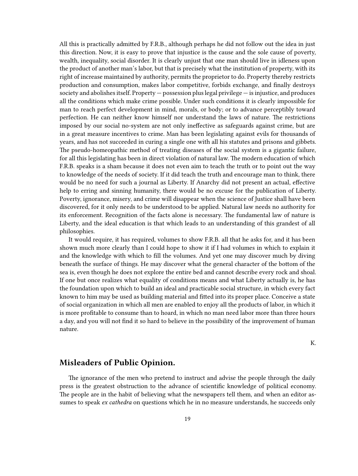All this is practically admitted by F.R.B., although perhaps he did not follow out the idea in just this direction. Now, it is easy to prove that injustice is the cause and the sole cause of poverty, wealth, inequality, social disorder. It is clearly unjust that one man should live in idleness upon the product of another man's labor, but that is precisely what the institution of property, with its right of increase maintained by authority, permits the proprietor to do. Property thereby restricts production and consumption, makes labor competitive, forbids exchange, and finally destroys society and abolishes itself. Property  $-$  possession plus legal privilege  $-$  is injustice, and produces all the conditions which make crime possible. Under such conditions it is clearly impossible for man to reach perfect development in mind, morals, or body; or to advance perceptibly toward perfection. He can neither know himself nor understand the laws of nature. The restrictions imposed by our social no-system are not only ineffective as safeguards against crime, but are in a great measure incentives to crime. Man has been legislating against evils for thousands of years, and has not succeeded in curing a single one with all his statutes and prisons and gibbets. The pseudo-homeopathic method of treating diseases of the social system is a gigantic failure, for all this legislating has been in direct violation of natural law. The modern education of which F.R.B. speaks is a sham because it does not even aim to teach the truth or to point out the way to knowledge of the needs of society. If it did teach the truth and encourage man to think, there would be no need for such a journal as Liberty. If Anarchy did not present an actual, effective help to erring and sinning humanity, there would be no excuse for the publication of Liberty. Poverty, ignorance, misery, and crime will disappear when the science of Justice shall have been discovered, for it only needs to be understood to be applied. Natural law needs no authority for its enforcement. Recognition of the facts alone is necessary. The fundamental law of nature is Liberty, and the ideal education is that which leads to an understanding of this grandest of all philosophies.

It would require, it has required, volumes to show F.R.B. all that he asks for, and it has been shown much more clearly than I could hope to show it if I had volumes in which to explain it and the knowledge with which to fill the volumes. And yet one may discover much by diving beneath the surface of things. He may discover what the general character of the bottom of the sea is, even though he does not explore the entire bed and cannot describe every rock and shoal. If one but once realizes what equality of conditions means and what Liberty actually is, he has the foundation upon which to build an ideal and practicable social structure, in which every fact known to him may be used as building material and fitted into its proper place. Conceive a state of social organization in which all men are enabled to enjoy all the products of labor, in which it is more profitable to consume than to hoard, in which no man need labor more than three hours a day, and you will not find it so hard to believe in the possibility of the improvement of human nature.

K.

## <span id="page-18-0"></span>**Misleaders of Public Opinion.**

The ignorance of the men who pretend to instruct and advise the people through the daily press is the greatest obstruction to the advance of scientific knowledge of political economy. The people are in the habit of believing what the newspapers tell them, and when an editor assumes to speak *ex cathedra* on questions which he in no measure understands, he succeeds only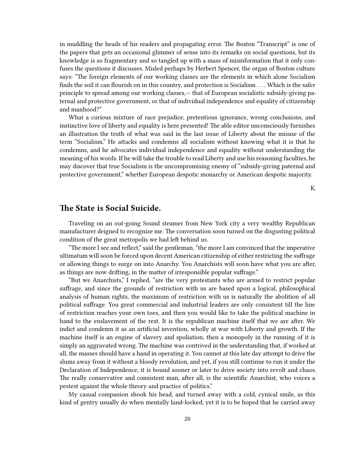in muddling the heads of his readers and propagating error. The Boston "Transcript" is one of the papers that gets an occasional glimmer of sense into its remarks on social questions, but its knowledge is so fragmentary and so tangled up with a mass of misinformation that it only confuses the questions it discusses. Misled perhaps by Herbert Spencer, the organ of Boston culture says: "The foreign elements of our working classes are the elements in which alone Socialism finds the soil it can flourish on in this country, and protection is Socialism. . . . Which is the safer principle to spread among our working classes,— that of European socialistic subsidy-giving paternal and protective government, or that of individual independence and equality of citizenship and manhood?"

What a curious mixture of race prejudice, pretentious ignorance, wrong conclusions, and instinctive love of liberty and equality is here presented! The able editor unconsciously furnishes an illustration the truth of what was said in the last issue of Liberty about the misuse of the term "Socialism." He attacks and condemns all socialism without knowing what it is that he condemns, and he advocates individual independence and equality without understanding the meaning of his words. If he will take the trouble to read Liberty and use his reasoning faculties, he may discover that true Socialism is the uncompromising enemy of "subsidy-giving paternal and protective government," whether European despotic monarchy or American despotic majority.

K.

## <span id="page-19-0"></span>**The State is Social Suicide.**

Traveling on an out-going Sound steamer from New York city a very wealthy Republican manufacturer deigned to recognize me. The conversation soon turned on the disgusting political condition of the great metropolis we had left behind us.

"The more I see and reflect," said the gentleman, "the more I am convinced that the imperative ultimatum will soon be forced upon decent American citizenship of either restricting the suffrage or allowing things to surge on into Anarchy. You Anarchists will soon have what you are after, as things are now drifting, in the matter of irresponsible popular suffrage."

"But we Anarchists," I replied, "are the very protestants who are armed to restrict popular suffrage, and since the grounds of restriction with us are based upon a logical, philosophical analysis of human rights, the maximum of restriction with us is naturally the abolition of all political suffrage. You great commercial and industrial leaders are only consistent till the line of restriction reaches your own toes, and then you would like to take the political machine in hand to the enslavement of the rest. It is the republican machine itself that we are after. We indict and condemn it as an artificial invention, wholly at war with Liberty and growth. If the machine itself is an engine of slavery and spoliation, then a monopoly in the running of it is simply an aggravated wrong. The machine was contrived in the understanding that, if worked at all, the masses should have a hand in operating it. You cannot at this late day attempt to drive the slums away from it without a bloody revolution, and yet, if you still continue to run it under the Declaration of Independence, it is bound sooner or later to drive society into revolt and chaos. The really conservative and consistent man, after all, is the scientific Anarchist, who voices a protest against the whole theory and practice of politics."

My casual companion shook his head, and turned away with a cold, cynical smile, as this kind of gentry usually do when mentally land-locked; yet it is to be hoped that he carried away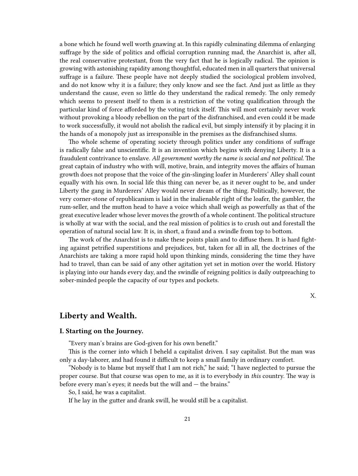a bone which he found well worth gnawing at. In this rapidly culminating dilemma of enlarging suffrage by the side of politics and official corruption running mad, the Anarchist is, after all, the real conservative protestant, from the very fact that he is logically radical. The opinion is growing with astonishing rapidity among thoughtful, educated men in all quarters that universal suffrage is a failure. These people have not deeply studied the sociological problem involved, and do not know why it is a failure; they only know and see the fact. And just as little as they understand the cause, even so little do they understand the radical remedy. The only remedy which seems to present itself to them is a restriction of the voting qualification through the particular kind of force afforded by the voting trick itself. This will most certainly never work without provoking a bloody rebellion on the part of the disfranchised, and even could it be made to work successfully, it would not abolish the radical evil, but simply intensify it by placing it in the hands of a monopoly just as irresponsible in the premises as the disfranchised slums.

Tho whole scheme of operating society through politics under any conditions of suffrage is radically false and unscientific. It is an invention which begins with denying Liberty. It is a fraudulent contrivance to enslave. *All government worthy the name is social and not political.* The great captain of industry who with will, motive, brain, and integrity moves the affairs of human growth does not propose that the voice of the gin-slinging loafer in Murderers' Alley shall count equally with his own. In social life this thing can never be, as it never ought to be, and under Liberty the gang in Murderers' Alley would never dream of the thing. Politically, however, the very corner-stone of republicanism is laid in the inalienable right of the loafer, the gambler, the rum-seller, and the mutton head to have a voice which shall weigh as powerfully as that of the great executive leader whose lever moves the growth of a whole continent. The political structure is wholly at war with the social, and the real mission of politics is to crush out and forestall the operation of natural social law. It is, in short, a fraud and a swindle from top to bottom.

The work of the Anarchist is to make these points plain and to diffuse them. It is hard fighting against petrified superstitions and prejudices, but, taken for all in all, the doctrines of the Anarchists are taking a more rapid hold upon thinking minds, considering the time they have had to travel, than can be said of any other agitation yet set in motion over the world. History is playing into our hands every day, and the swindle of reigning politics is daily outpreaching to sober-minded people the capacity of our types and pockets.

#### X.

## <span id="page-20-0"></span>**Liberty and Wealth.**

## <span id="page-20-1"></span>**I. Starting on the Journey.**

"Every man's brains are God-given for his own benefit."

This is the corner into which I beheld a capitalist driven. I say capitalist. But the man was only a day-laborer, and had found it difficult to keep a small family in ordinary comfort.

"Nobody is to blame but myself that I am not rich," he said; "I have neglected to pursue the proper course. But that course was open to me, as it is to everybody in *this* country. The way is before every man's eyes; it needs but the will and — the brains."

So, I said, he was a capitalist.

If he lay in the gutter and drank swill, he would still be a capitalist.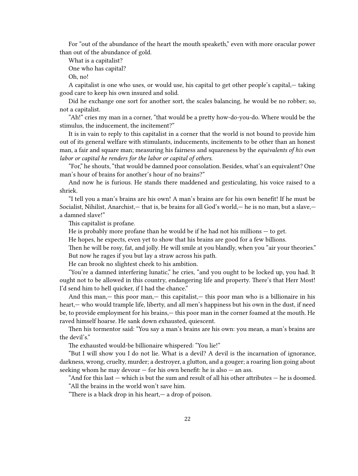For "out of the abundance of the heart the mouth speaketh," even with more oracular power than out of the abundance of gold.

What is a capitalist?

One who has capital?

Oh, no!

A capitalist is one who uses, or would use, his capital to get other people's capital,— taking good care to keep his own insured and solid.

Did he exchange one sort for another sort, the scales balancing, he would be no robber; so, not a capitalist.

"Ah!" cries my man in a corner, "that would be a pretty how-do-you-do. Where would be the stimulus, the inducement, the incitement?"

It is in vain to reply to this capitalist in a corner that the world is not bound to provide him out of its general welfare with stimulants, inducements, incitements to be other than an honest man, a fair and square man; measuring his fairness and squareness by the *equivalents of his own labor or capital he renders for the labor or capital of others.*

"For," he shouts, "that would be damned poor consolation. Besides, what's an equivalent? One man's hour of brains for another's hour of no brains?"

And now he is furious. He stands there maddened and gesticulating, his voice raised to a shriek.

"I tell you a man's brains are his own! A man's brains are for his own benefit! If he must be Socialist, Nihilist, Anarchist,— that is, be brains for all God's world,— he is no man, but a slave, a damned slave!"

This capitalist is profane.

He is probably more profane than he would be if he had not his millions  $-$  to get.

He hopes, he expects, even yet to show that his brains are good for a few billions.

Then he will be rosy, fat, and jolly. He will smile at you blandly, when you "air your theories." But now he rages if you but lay a straw across his path.

He can brook no slightest cheek to his ambition.

"You're a damned interfering lunatic," he cries, "and you ought to be locked up, you had. It ought not to be allowed in this country, endangering life and property. There's that Herr Most! I'd send him to hell quicker, if I had the chance."

And this man,— this poor man,— this capitalist,— this poor man who is a billionaire in his heart,— who would trample life, liberty, and all men's happiness but his own in the dust, if need be, to provide employment for his brains,— this poor man in the corner foamed at the mouth. He raved himself hoarse. He sank down exhausted, quiescent.

Then his tormentor said: "You say a man's brains are his own: you mean, a man's brains are the devil's."

The exhausted would-be billionaire whispered: "You lie!"

"But I will show you I do not lie. What is a devil? A devil is the incarnation of ignorance, darkness, wrong, cruelty, murder; a destroyer, a glutton, and a gouger; a roaring lion going about seeking whom he may devour  $-$  for his own benefit: he is also  $-$  an ass.

"And for this last  $-$  which is but the sum and result of all his other attributes  $-$  he is doomed.

"All the brains in the world won't save him.

"There is a black drop in his heart,— a drop of poison.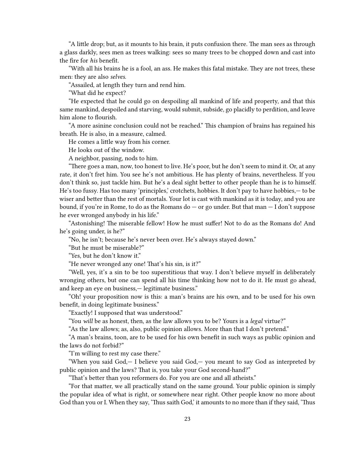"A little drop; but, as it mounts to his brain, it puts confusion there. The man sees as through a glass darkly, sees men as trees walking: sees so many trees to be chopped down and cast into the fire for *his* benefit.

"With all his brains he is a fool, an ass. He makes this fatal mistake. They are not trees, these men: they are also *selves*.

"Assailed, at length they turn and rend him.

"What did he expect?

"He expected that he could go on despoiling all mankind of life and property, and that this same mankind, despoiled and starving, would submit, subside, go placidly to perdition, and leave him alone to flourish.

"A more asinine conclusion could not be reached." This champion of brains has regained his breath. He is also, in a measure, calmed.

He comes a little way from his corner.

He looks out of the window.

A neighbor, passing, nods to him.

"There goes a man, now, too honest to live. He's poor, but he don't seem to mind it. Or, at any rate, it don't fret him. You see he's not ambitious. He has plenty of brains, nevertheless. If you don't think so, just tackle him. But he's a deal sight better to other people than he is to himself. He's too fussy. Has too many 'principles,' crotchets, hobbies. It don't pay to have hobbies,— to be wiser and better than the rest of mortals. Your lot is cast with mankind as it is today, and you are bound, if you're in Rome, to do as the Romans do  $-$  or go under. But that man  $-$  I don't suppose he ever wronged anybody in his life."

"Astonishing! The miserable fellow! How he must suffer! Not to do as the Romans do! And he's going under, is he?"

"No, he isn't; because he's never been over. He's always stayed down."

"But he must be miserable?"

"Yes, but he don't know it."

"He never wronged any one! That's his sin, is it?"

"Well, yes, it's a sin to be too superstitious that way. I don't believe myself in deliberately wronging others, but one can spend all his time thinking how not to do it. He must go ahead, and keep an eye on business,— legitimate business."

"Oh! your proposition now is this: a man's brains are his own, and to be used for his own benefit, in doing legitimate business."

"Exactly! I supposed that was understood."

"You *will* be as honest, then, as the law allows you to be? Yours is a *legal* virtue?"

"As the law allows; as, also, public opinion allows. More than that I don't pretend."

"A man's brains, toon, are to be used for his own benefit in such ways as public opinion and the laws do not forbid?"

"I'm willing to rest my case there."

"When you said God,— I believe you said God,— you meant to say God as interpreted by public opinion and the laws? That is, you take your God second-hand?"

"That's better than you reformers do. For you are one and all atheists."

"For that matter, we all practically stand on the same ground. Your public opinion is simply the popular idea of what is right, or somewhere near right. Other people know no more about God than you or I. When they say, 'Thus saith God,' it amounts to no more than if they said, 'Thus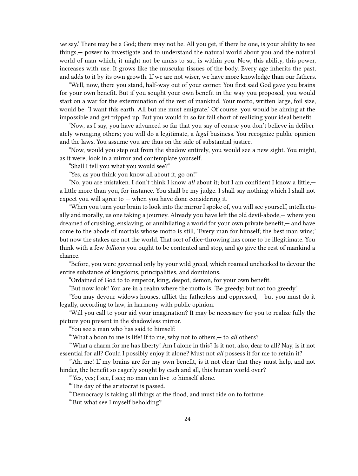*we* say.' There may be a God; there may not be. All you get, if there be one, is your ability to see things,— power to investigate and to understand the natural world about you and the natural world of man which, it might not be amiss to sat, is within you. Now, this ability, this power, increases with use. It grows like the muscular tissues of the body. Every age inherits the past, and adds to it by its own growth. If we are not wiser, we have more knowledge than our fathers.

"Well, now, there you stand, half-way out of your corner. You first said God gave you brains for your own benefit. But if you sought your own benefit in the way you proposed, you would start on a war for the extermination of the rest of mankind. Your motto, written large, foil size, would be: 'I want this earth. All but me must emigrate.' Of course, you would be aiming at the impossible and get tripped up. But you would in so far fall short of realizing your ideal benefit.

"Now, as I say, you have advanced so far that you say of course you don't believe in deliberately wronging others; you will do a legitimate, a *legal* business. You recognize public opinion and the laws. You assume you are thus on the side of substantial justice.

"Now, would you step out from the shadow entirely, you would see a new sight. You might, as it were, look in a mirror and contemplate yourself.

"Shall I tell you what you would see?"

"Yes, as you think you know all about it, go on!"

"No, you are mistaken. I don't think I know *all* about it; but I am confident I know a little, a little more than you, for instance. You shall be my judge. I shall say nothing which I shall not expect you will agree to  $-$  when you have done considering it.

"When you turn your brain to look into the mirror I spoke of, you will see yourself, intellectually and morally, us one taking a journey. Already you have left the old devil-abode,— where you dreamed of crushing, enslaving, or annihilating a world for your own private benefit,— and have come to the abode of mortals whose motto is still, 'Every man for himself; the best man wins;' but now the stakes are not the world. That sort of dice-throwing has come to be illegitimate. You think with a few *billions* you ought to be contented and stop, and go give the rest of mankind a chance.

"Before, you were governed only by your wild greed, which roamed unchecked to devour the entire substance of kingdoms, principalities, and dominions.

"Ordained of God to to emperor, king, despot, demon, for your own benefit.

"But now look! You are in a realm where the motto is, 'Be greedy; but not too greedy.'

"You may devour widows houses, afflict the fatherless and oppressed,— but you must do it legally, according to law, in harmony with public opinion.

"Will you call to your aid your imagination? It may be necessary for you to realize fully the picture you present in the shadowless mirror.

"You see a man who has said to himself:

"'What a boon to me is life! If to me, why not to others,— to *all* others?

"'What a charm for me has liberty! Am I alone in this? Is it not, also, dear to all? Nay, is it not essential for all? Could I possibly enjoy it alone? Must not *all* possess it for me to retain it?

"'Ah, me! If my brains are for my own benefit, is it not clear that they must help, and not hinder, the benefit so eagerly sought by each and all, this human world over?

"'Yes, yes; I see, I see; no man can live to himself alone.

"'The day of the aristocrat is passed.

"'Democracy is taking all things at the flood, and must ride on to fortune.

"'But what see I myself beholding?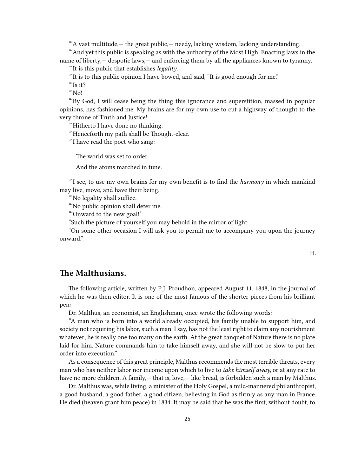"'A vast multitude,— the great public,— needy, lacking wisdom, lacking understanding.

"'And yet this public is speaking as with the authority of the Most High. Enacting laws in the name of liberty,— despotic laws,— and enforcing them by all the appliances known to tyranny.

"'It is this public that establishes *legality*.

"'It is to this public opinion I have bowed, and said, "It is good enough for me."

"'Is it?

"'No!

"'By God, I will cease being the thing this ignorance and superstition, massed in popular opinions, has fashioned me. My brains are for my own use to cut a highway of thought to the very throne of Truth and Justice!

"'Hitherto I have done no thinking.

"'Henceforth my path shall be Thought-clear.

"'I have read the poet who sang:

The world was set to order,

And the atoms marched in tune.

"'I see, to use my own brains for my own benefit is to find the *harmony* in which mankind may live, move, and have their being.

"'No legality shall suffice.

"'No public opinion shall deter me.

"'Onward to the new goal!'

"Such the picture of yourself you may behold in the mirror of light.

"On some other occasion I will ask you to permit me to accompany you upon the journey onward."

H.

## <span id="page-24-0"></span>**The Malthusians.**

The following article, written by P.J. Proudhon, appeared August 11, 1848, in the journal of which he was then editor. It is one of the most famous of the shorter pieces from his brilliant pen:

Dr. Malthus, an economist, an Englishman, once wrote the following words:

"A man who is born into a world already occupied, his family unable to support him, and society not requiring his labor, such a man, I say, has not the least right to claim any nourishment whatever; he is really one too many on the earth. At the great banquet of Nature there is no plate laid for him. Nature commands him to take himself away, and she will not be slow to put her order into execution."

As a consequence of this great principle, Malthus recommends the most terrible threats, every man who has neither labor nor income upon which to live to *take himself away,* or at any rate to have no more children. A family,— that is, love,— like bread, is forbidden such a man by Malthus.

Dr. Malthus was, while living, a minister of the Holy Gospel, a mild-mannered philanthropist, a good husband, a good father, a good citizen, believing in God as firmly as any man in France. He died (heaven grant him peace) in 1834. It may be said that he was the first, without doubt, to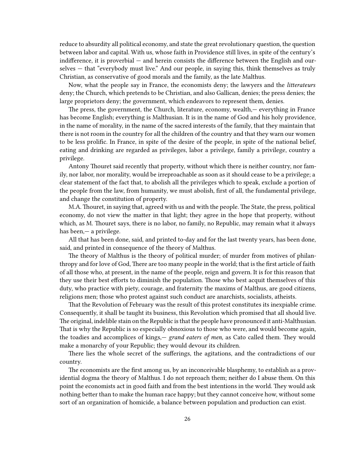reduce to absurdity all political economy, and state the great revolutionary question, the question between labor and capital. With us, whose faith in Providence still lives, in spite of the century's indifference, it is proverbial — and herein consists the difference between the English and ourselves — that "everybody must live." And our people, in saying this, think themselves as truly Christian, as conservative of good morals and the family, as the late Malthus.

Now, what the people say in France, the economists deny; the lawyers and the *litterateurs* deny; the Church, which pretends to be Christian, and also Gallican, denies; the press denies; the large proprietors deny; the government, which endeavors to represent them, denies.

The press, the government, the Church, literature, economy, wealth,— everything in France has become English; everything is Malthusian. It is in the name of God and his holy providence, in the name of morality, in the name of the sacred interests of the family, that they maintain that there is not room in the country for all the children of the country and that they warn our women to be less prolific. In France, in spite of the desire of the people, in spite of the national belief, eating and drinking are regarded as privileges, labor a privilege, family a privilege, country a privilege.

Antony Thouret said recently that property, without which there is neither country, nor family, nor labor, nor morality, would be irreproachable as soon as it should cease to be a privilege; a clear statement of the fact that, to abolish all the privileges which to speak, exclude a portion of the people from the law, from humanity, we must abolish, first of all, the fundamental privilege, and change the constitution of property.

M.A. Thouret, in saying that, agreed with us and with the people. The State, the press, political economy, do not view the matter in that light; they agree in the hope that property, without which, as M. Thouret says, there is no labor, no family, no Republic, may remain what it always has been,— a privilege.

All that has been done, said, and printed to-day and for the last twenty years, has been done, said, and printed in consequence of the theory of Malthus.

The theory of Malthus is the theory of political murder; of murder from motives of philanthropy and for love of God, There are too many people in the world; that is the first article of faith of all those who, at present, in the name of the people, reign and govern. It is for this reason that they use their best efforts to diminish the population. Those who best acquit themselves of this duty, who practice with piety, courage, and fraternity the maxims of Malthus, are good citizens, religions men; those who protest against such conduct are anarchists, socialists, atheists.

That the Revolution of February was the result of this protest constitutes its inexpiable crime. Consequently, it shall be taught its business, this Revolution which promised that all should live. The original, indelible stain on the Republic is that the people have pronounced it anti-Malthusian. That is why the Republic is so especially obnoxious to those who were, and would become again, the toadies and accomplices of kings,— *grand eaters of men,* as Cato called them. They would make a monarchy of your Republic; they would devour its children.

There lies the whole secret of the sufferings, the agitations, and the contradictions of our country.

The economists are the first among us, by an inconceivable blasphemy, to establish as a providential dogma the theory of Malthus. I do not reproach them; neither do I abuse them. On this point the economists act in good faith and from the best intentions in the world. They would ask nothing better than to make the human race happy; but they cannot conceive how, without some sort of an organization of homicide, a balance between population and production can exist.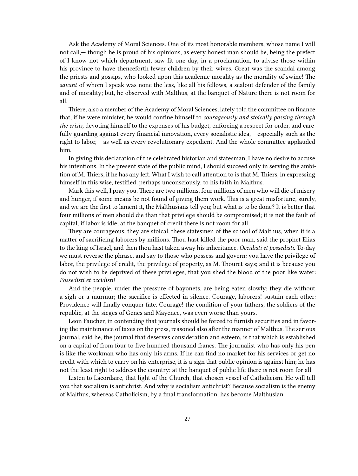Ask the Academy of Moral Sciences. One of its most honorable members, whose name I will not call,— though he is proud of his opinions, as every honest man should be, being the prefect of I know not which department, saw fit one day, in a proclamation, to advise those within his province to have thenceforth fewer children by their wives. Great was the scandal among the priests and gossips, who looked upon this academic morality as the morality of swine! The *savant* of whom I speak was none the less, like all his fellows, a sealout defender of the family and of morality; but, he observed with Malthus, at the banquet of Nature there is not room for all.

Thiere, also a member of the Academy of Moral Sciences, lately told the committee on finance that, if he were minister, he would confine himself to *courageously and stoically passing through the crisis,* devoting himself to the expenses of his budget, enforcing a respect for order, and carefully guarding against every financial innovation, every socialistic idea,— especially such as the right to labor,— as well as every revolutionary expedient. And the whole committee applauded him.

In giving this declaration of the celebrated historian and statesman, I have no desire to accuse his intentions. In the present state of the public mind, I should succeed only in serving the ambition of M. Thiers, if he has any left. What I wish to call attention to is that M. Thiers, in expressing himself in this wise, testified, perhaps unconsciously, to his faith in Malthus.

Mark this well, I pray you. There are two millions, four millions of men who will die of misery and hunger, if some means be not found of giving them work. This is a great misfortune, surely, and we are the first to lament it, the Malthusians tell you; but what is to be done? It is better that four millions of men should die than that privilege should be compromised; it is not the fault of capital, if labor is idle; at the banquet of credit there is not room for all.

They are courageous, they are stoical, these statesmen of the school of Malthus, when it is a matter of sacrificing laborers by millions. Thou hast killed the poor man, said the prophet Elias to the king of Israel, and then thou hast taken away his inheritance. *Occidisti et possedisti.* To-day we must reverse the phrase, and say to those who possess and govern: you have the privilege of labor, the privilege of credit, the privilege of property, as M. Thouret says; and it is because you do not wish to be deprived of these privileges, that you shed the blood of the poor like water: *Possedisti et occidisti!*

And the people, under the pressure of bayonets, are being eaten slowly; they die without a sigh or a murmur; the sacrifice is effected in silence. Courage, laborers! sustain each other: Providence will finally conquer fate. Courage! the condition of your fathers, the soldiers of the republic, at the sieges of Genes and Mayence, was even worse than yours.

Leon Faucher, in contending that journals should be forced to furnish securities and in favoring the maintenance of taxes on the press, reasoned also after the manner of Malthus. The serious journal, said he, the journal that deserves consideration and esteem, is that which is established on a capital of from four to five hundred thousand francs. The journalist who has only his pen is like the workman who has only his arms. If he can find no market for his services or get no credit with which to carry on his enterprise, it is a sign that public opinion is against him; he has not the least right to address the country: at the banquet of public life there is not room for all.

Listen to Lacordaire, that light of the Church, that chosen vessel of Catholicism. He will tell you that socialism is antichrist. And why is socialism antichrist? Because socialism is the enemy of Malthus, whereas Catholicism, by a final transformation, has become Malthusian.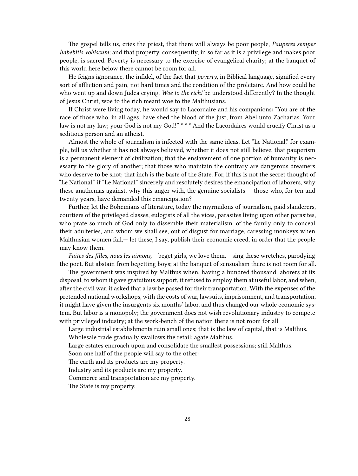The gospel tells us, cries the priest, that there will always be poor people, *Pauperes semper habebitis vobiscum;* and that property, consequently, in so far as it is a privilege and makes poor people, is sacred. Poverty is necessary to the exercise of evangelical charity; at the banquet of this world here below there cannot be room for all.

He feigns ignorance, the infidel, of the fact that *poverty*, in Biblical language, signified every sort of affliction and pain, not hard times and the condition of the proletaire. And how could he who went up and down Judea crying, *Woe to the rich!* be understood differently? In the thought of Jesus Christ, woe to the rich meant woe to the Malthusians.

If Christ were living today, he would say to Lacordaire and his companions: "You are of the race of those who, in all ages, have shed the blood of the just, from Abel unto Zacharias. Your law is not my law; your God is not my God!" \*\*\* And the Lacordaires wonld crucify Christ as a seditious person and an atheist.

Almost the whole of journalism is infected with the same ideas. Let "Le National," for example, tell us whether it has not always believed, whether it does not still believe, that pauperism is a permanent element of civilization; that the enslavement of one portion of humanity is necessary to the glory of another; that those who maintain the contrary are dangerous dreamers who deserve to be shot; that inch is the baste of the State. For, if this is not the secret thought of "Le National," if "Le National" sincerely and resolutely desires the emancipation of laborers, why these anathemas against, why this anger with, the genuine socialists — those who, for ten and twenty years, have demanded this emancipation?

Further, let the Bohemians of literature, today the myrmidons of journalism, paid slanderers, courtiers of the privileged classes, eulogists of all the vices, parasites living upon other parasites, who prate so much of God only to dissemble their materialism, of the family only to conceal their adulteries, and whom we shall see, out of disgust for marriage, caressing monkeys when Malthusian women fail,— let these, I say, publish their economic creed, in order that the people may know them.

*Faites des filles, nous les aimons,*— beget girls, we love them,— sing these wretches, parodying the poet. But abstain from begetting boys; at the banquet of sensualism there is not room for all.

The government was inspired by Malthus when, having a hundred thousand laborers at its disposal, to whom it gave gratuitous support, it refused to employ them at useful labor, and when, after the civil war, it asked that a law be passed for their transportation. With the expenses of the pretended national workshops, with the costs of war, lawsuits, imprisonment, and transportation, it might have given the insurgents six months' labor, and thus changed our whole economic system. But labor is a monopoly; the government does not wish revolutionary industry to compete with privileged industry; at the work-bench of the nation there is not room for all.

Large industrial establishments ruin small ones; that is the law of capital, that is Malthus. Wholesale trade gradually swallows the retail; agate Malthus.

Large estates encroach upon and consolidate the smallest possessions; still Malthus.

Soon one half of the people will say to the other:

The earth and its products are my property.

Industry and its products are my property.

Commerce and transportation are my property.

The State is my property.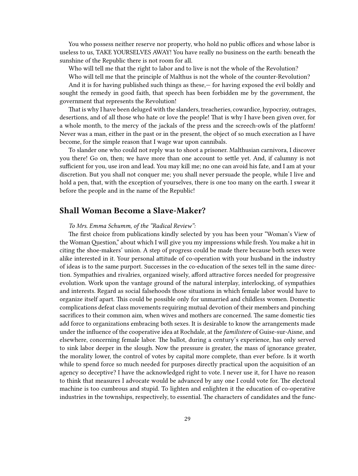You who possess neither reserve nor property, who hold no public offices and whose labor is useless to us, TAKE YOURSELVES AWAY! You have really no business on the earth: beneath the sunshine of the Republic there is not room for all.

Who will tell me that the right to labor and to live is not the whole of the Revolution?

Who will tell me that the principle of Malthus is not the whole of the counter-Revolution?

And it is for having published such things as these,— for having exposed the evil boldly and sought the remedy in good faith, that speech has been forbidden me by the government, the government that represents the Revolution!

That is why I have been deluged with the slanders, treacheries, cowardice, hypocrisy, outrages, desertions, and of all those who hate or love the people! That is why I have been given over, for a whole month, to the mercy of the jackals of the press and the screech-owls of the platform! Never was a man, either in the past or in the present, the object of so much execration as I have become, for the simple reason that I wage war upon cannibals.

To slander one who could not reply was to shoot a prisoner. Malthusian carnivora, I discover you there! Go on, then; we have more than one account to settle yet. And, if calumny is not sufficient for you, use iron and lead. You may kill me; no one can avoid his fate, and I am at your discretion. But you shall not conquer me; you shall never persuade the people, while I live and hold a pen, that, with the exception of yourselves, there is one too many on the earth. I swear it before the people and in the name of the Republic!

## <span id="page-28-0"></span>**Shall Woman Become a Slave-Maker?**

#### *To Mrs. Emma Schumm, of the "Radical Review":*

The first choice from publications kindly selected by you has been your "Woman's View of the Woman Question," about which I will give you my impressions while fresh. You make a hit in citing the shoe-makers' union. A step of progress could be made there because both sexes were alike interested in it. Your personal attitude of co-operation with your husband in the industry of ideas is to the same purport. Successes in the co-education of the sexes tell in the same direction. Sympathies and rivalries, organized wisely, afford attractive forces needed for progressive evolution. Work upon the vantage ground of the natural interplay, interlocking, of sympathies and interests. Regard as social falsehoods those situations in which female labor would have to organize itself apart. This could be possible only for unmarried and childless women. Domestic complications defeat class movements requiring mutual devotion of their members and pinching sacrifices to their common aim, when wives and mothers are concerned. The same domestic ties add force to organizations embracing both sexes. It is desirable to know the arrangements made under the influence of the cooperative idea at Rochdale, at the *familistere* of Guise-sur-Aisne, and elsewhere, concerning female labor. The ballot, during a century's experience, has only served to sink labor deeper in the slough. Now the pressure is greater, the mass of ignorance greater, the morality lower, the control of votes by capital more complete, than ever before. Is it worth while to spend force so much needed for purposes directly practical upon the acquisition of an agency so deceptive? I have the acknowledged right to vote. I never use it, for I have no reason to think that measures I advocate would be advanced by any one I could vote for. The electoral machine is too cumbrous and stupid. To lighten and enlighten it the education of co-operative industries in the townships, respectively, to essential. The characters of candidates and the func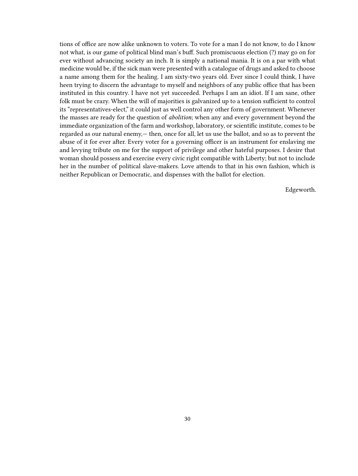tions of office are now alike unknown to voters. To vote for a man I do not know, to do I know not what, is our game of political blind man's buff. Such promiscuous election (?) may go on for ever without advancing society an inch. It is simply a national mania. It is on a par with what medicine would be, if the sick man were presented with a catalogue of drugs and asked to choose a name among them for the healing. I am sixty-two years old. Ever since I could think, I have heen trying to discern the advantage to myself and neighbors of any public office that has been instituted in this country. I have not yet succeeded. Perhaps I am an idiot. If I am sane, other folk must be crazy. When the will of majorities is galvanized up to a tension sufficient to control its "representatives-elect," it could just as well control any other form of government. Whenever the masses are ready for the question of *abolition*; when any and every government beyond the immediate organization of the farm and workshop, laboratory, or scientific institute, comes to be regarded as our natural enemy,— then, once for all, let us use the ballot, and so as to prevent the abuse of it for ever after. Every voter for a governing officer is an instrument for enslaving me and levying tribute on me for the support of privilege and other hateful purposes. I desire that woman should possess and exercise every civic right compatible with Liberty; but not to include her in the number of political slave-makers. Love attends to that in his own fashion, which is neither Republican or Democratic, and dispenses with the ballot for election.

Edgeworth.